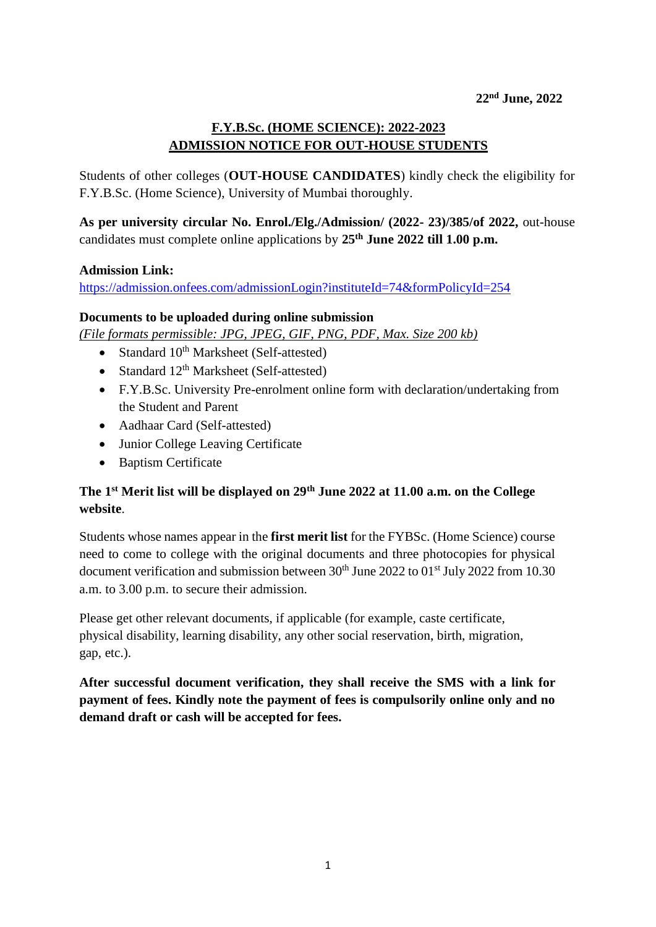## **F.Y.B.Sc. (HOME SCIENCE): 2022-2023 ADMISSION NOTICE FOR OUT-HOUSE STUDENTS**

Students of other colleges (**OUT-HOUSE CANDIDATES**) kindly check the eligibility for F.Y.B.Sc. (Home Science), University of Mumbai thoroughly.

**As per university circular No. Enrol./Elg./Admission/ (2022- 23)/385/of 2022,** out-house candidates must complete online applications by **25th June 2022 till 1.00 p.m.** 

## **Admission Link:**

<https://admission.onfees.com/admissionLogin?instituteId=74&formPolicyId=254>

## **Documents to be uploaded during online submission**

*(File formats permissible: JPG, JPEG, GIF, PNG, PDF, Max. Size 200 kb)*

- Standard  $10^{th}$  Marksheet (Self-attested)
- Standard  $12<sup>th</sup>$  Marksheet (Self-attested)
- F.Y.B.Sc. University Pre-enrolment online form with declaration/undertaking from the Student and Parent
- Aadhaar Card (Self-attested)
- Junior College Leaving Certificate
- Baptism Certificate

## **The 1st Merit list will be displayed on 29th June 2022 at 11.00 a.m. on the College website**.

Students whose names appear in the **first merit list** for the FYBSc. (Home Science) course need to come to college with the original documents and three photocopies for physical document verification and submission between  $30<sup>th</sup>$  June 2022 to  $01<sup>st</sup>$  July 2022 from 10.30 a.m. to 3.00 p.m. to secure their admission.

Please get other relevant documents, if applicable (for example, caste certificate, physical disability, learning disability, any other social reservation, birth, migration, gap, etc.).

**After successful document verification, they shall receive the SMS with a link for payment of fees. Kindly note the payment of fees is compulsorily online only and no demand draft or cash will be accepted for fees.**